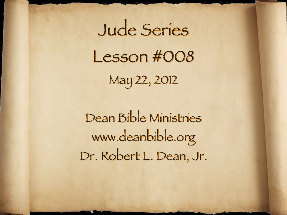Jude Series Lesson #008 May 22, 2012

Dean Bible Ministries [www.deanbible.org](http://www.deanbible.org) [Dr. Robert L. Dean, Jr.](http://www.deanbible.org)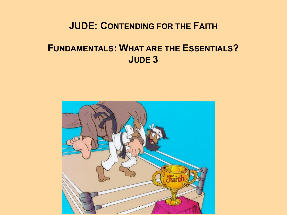#### **JUDE: CONTENDING FOR THE FAITH**

### **FUNDAMENTALS: WHAT ARE THE ESSENTIALS? JUDE 3**

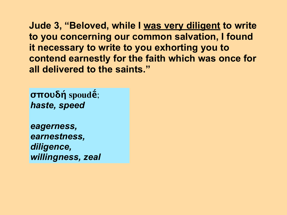**σπουδή spoudḗ**; *haste, speed*

*eagerness, earnestness, diligence, willingness, zeal*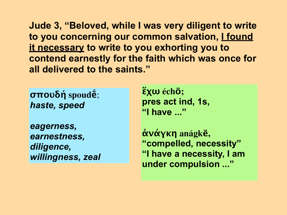**σπουδή spoudḗ**; *haste, speed*

*eagerness, earnestness, diligence, willingness, zeal* **ἔχω échō; pres act ind, 1s, "I have ..."**

**ἀνάγκη anágkē, "compelled, necessity" "I have a necessity, I am under compulsion ..."**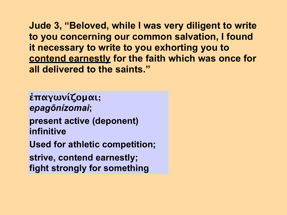**ἐπαγωνίζομαι;**  *epagōnízomai***; present active (deponent) infinitive Used for athletic competition; strive, contend earnestly; fight strongly for something**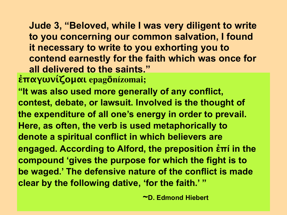**ἐπαγωνίζομαι epagōnízomai;** 

**"It was also used more generally of any conflict, contest, debate, or lawsuit. Involved is the thought of the expenditure of all one's energy in order to prevail. Here, as often, the verb is used metaphorically to denote a spiritual conflict in which believers are engaged. According to Alford, the preposition ἐπί in the compound 'gives the purpose for which the fight is to be waged.' The defensive nature of the conflict is made clear by the following dative, 'for the faith.' "** 

 **~D. Edmond Hiebert**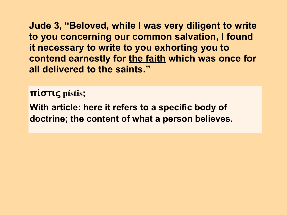**πίστις pístis;**

**With article: here it refers to a specific body of doctrine; the content of what a person believes.**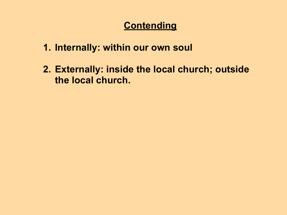### **Contending**

- **1. Internally: within our own soul**
- **2. Externally: inside the local church; outside the local church.**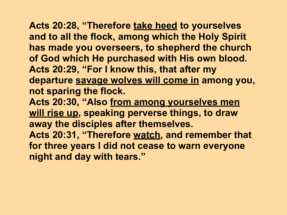# **Acts 20:28, "Therefore take heed to yourselves**

**and to all the flock, among which the Holy Spirit has made you overseers, to shepherd the church of God which He purchased with His own blood. Acts 20:29, "For I know this, that after my departure savage wolves will come in among you, not sparing the flock.** 

Acts 20:30, "Also from among yourselves men **will rise up, speaking perverse things, to draw away the disciples after themselves. Acts 20:31, "Therefore watch, and remember that for three years I did not cease to warn everyone** 

**night and day with tears."**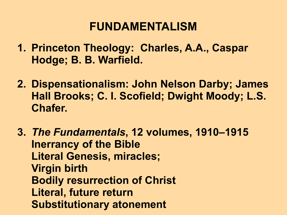## **FUNDAMENTALISM**

- **1. Princeton Theology: Charles, A.A., Caspar Hodge; B. B. Warfield.**
- **2. Dispensationalism: John Nelson Darby; James Hall Brooks; C. I. Scofield; Dwight Moody; L.S. Chafer.**
- **3.** *The Fundamentals***, 12 volumes, 1910–1915 Inerrancy of the Bible Literal Genesis, miracles; Virgin birth Bodily resurrection of Christ Literal, future return Substitutionary atonement**